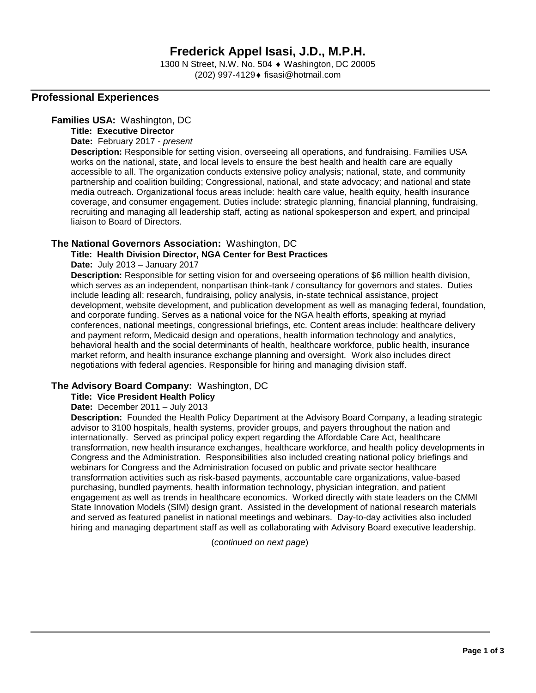1300 N Street, N.W. No. 504 ♦ Washington, DC 20005 (202) 997-4129 fisasi@hotmail.com

## **Professional Experiences**

### **Families USA:** Washington, DC

**Title: Executive Director**

**Date:** February 2017 - *present*

**Description:** Responsible for setting vision, overseeing all operations, and fundraising. Families USA works on the national, state, and local levels to ensure the best health and health care are equally accessible to all. The organization conducts extensive policy analysis; national, state, and community partnership and coalition building; Congressional, national, and state advocacy; and national and state media outreach. Organizational focus areas include: health care value, health equity, health insurance coverage, and consumer engagement. Duties include: strategic planning, financial planning, fundraising, recruiting and managing all leadership staff, acting as national spokesperson and expert, and principal liaison to Board of Directors.

## **The National Governors Association:** Washington, DC

## **Title: Health Division Director, NGA Center for Best Practices**

**Date:** July 2013 – January 2017

**Description:** Responsible for setting vision for and overseeing operations of \$6 million health division, which serves as an independent, nonpartisan think-tank / consultancy for governors and states. Duties include leading all: research, fundraising, policy analysis, in-state technical assistance, project development, website development, and publication development as well as managing federal, foundation, and corporate funding. Serves as a national voice for the NGA health efforts, speaking at myriad conferences, national meetings, congressional briefings, etc. Content areas include: healthcare delivery and payment reform, Medicaid design and operations, health information technology and analytics, behavioral health and the social determinants of health, healthcare workforce, public health, insurance market reform, and health insurance exchange planning and oversight. Work also includes direct negotiations with federal agencies. Responsible for hiring and managing division staff.

## **The Advisory Board Company:** Washington, DC

#### **Title: Vice President Health Policy**

#### **Date:** December 2011 – July 2013

**Description:** Founded the Health Policy Department at the Advisory Board Company, a leading strategic advisor to 3100 hospitals, health systems, provider groups, and payers throughout the nation and internationally. Served as principal policy expert regarding the Affordable Care Act, healthcare transformation, new health insurance exchanges, healthcare workforce, and health policy developments in Congress and the Administration. Responsibilities also included creating national policy briefings and webinars for Congress and the Administration focused on public and private sector healthcare transformation activities such as risk-based payments, accountable care organizations, value-based purchasing, bundled payments, health information technology, physician integration, and patient engagement as well as trends in healthcare economics. Worked directly with state leaders on the CMMI State Innovation Models (SIM) design grant. Assisted in the development of national research materials and served as featured panelist in national meetings and webinars. Day-to-day activities also included hiring and managing department staff as well as collaborating with Advisory Board executive leadership.

(*continued on next page*)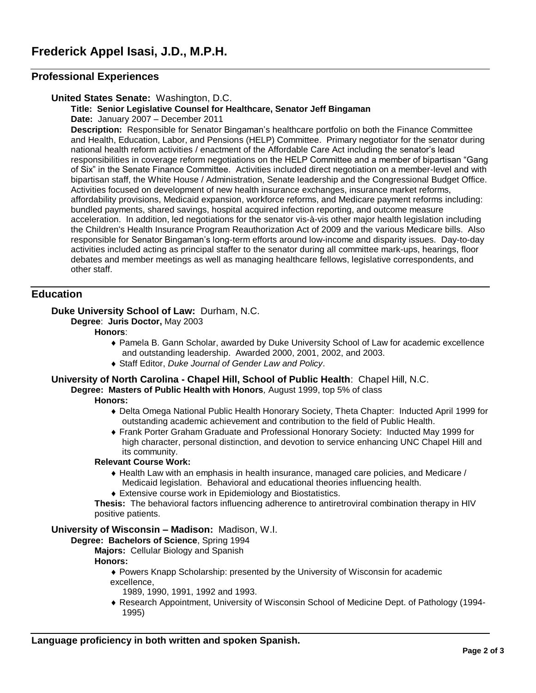## **Professional Experiences**

## **United States Senate:** Washington, D.C.

**Title: Senior Legislative Counsel for Healthcare, Senator Jeff Bingaman Date:** January 2007 – December 2011

**Description:** Responsible for Senator Bingaman's healthcare portfolio on both the Finance Committee and Health, Education, Labor, and Pensions (HELP) Committee. Primary negotiator for the senator during national health reform activities / enactment of the Affordable Care Act including the senator's lead responsibilities in coverage reform negotiations on the HELP Committee and a member of bipartisan "Gang of Six" in the Senate Finance Committee. Activities included direct negotiation on a member-level and with bipartisan staff, the White House / Administration, Senate leadership and the Congressional Budget Office. Activities focused on development of new health insurance exchanges, insurance market reforms, affordability provisions, Medicaid expansion, workforce reforms, and Medicare payment reforms including: bundled payments, shared savings, hospital acquired infection reporting, and outcome measure acceleration. In addition, led negotiations for the senator vis-à-vis other major health legislation including the Children's Health Insurance Program Reauthorization Act of 2009 and the various Medicare bills. Also responsible for Senator Bingaman's long-term efforts around low-income and disparity issues. Day-to-day activities included acting as principal staffer to the senator during all committee mark-ups, hearings, floor debates and member meetings as well as managing healthcare fellows, legislative correspondents, and other staff.

## **Education**

## **Duke University School of Law:** Durham, N.C.

**Degree**: **Juris Doctor,** May 2003

#### **Honors**:

- Pamela B. Gann Scholar, awarded by Duke University School of Law for academic excellence and outstanding leadership. Awarded 2000, 2001, 2002, and 2003.
- Staff Editor, *Duke Journal of Gender Law and Policy*.

#### **University of North Carolina - Chapel Hill, School of Public Health**: Chapel Hill, N.C.

**Degree: Masters of Public Health with Honors***,* August 1999, top 5% of class

## **Honors:**

- Delta Omega National Public Health Honorary Society, Theta Chapter: Inducted April 1999 for outstanding academic achievement and contribution to the field of Public Health.
- Frank Porter Graham Graduate and Professional Honorary Society: Inducted May 1999 for high character, personal distinction, and devotion to service enhancing UNC Chapel Hill and its community.

#### **Relevant Course Work:**

- Health Law with an emphasis in health insurance, managed care policies, and Medicare / Medicaid legislation. Behavioral and educational theories influencing health.
- Extensive course work in Epidemiology and Biostatistics.

**Thesis:** The behavioral factors influencing adherence to antiretroviral combination therapy in HIV positive patients.

## **University of Wisconsin – Madison:** Madison, W.I.

#### **Degree: Bachelors of Science**, Spring 1994

**Majors:** Cellular Biology and Spanish

### **Honors:**

- Powers Knapp Scholarship: presented by the University of Wisconsin for academic excellence,
	- 1989, 1990, 1991, 1992 and 1993.
- Research Appointment, University of Wisconsin School of Medicine Dept. of Pathology (1994- 1995)